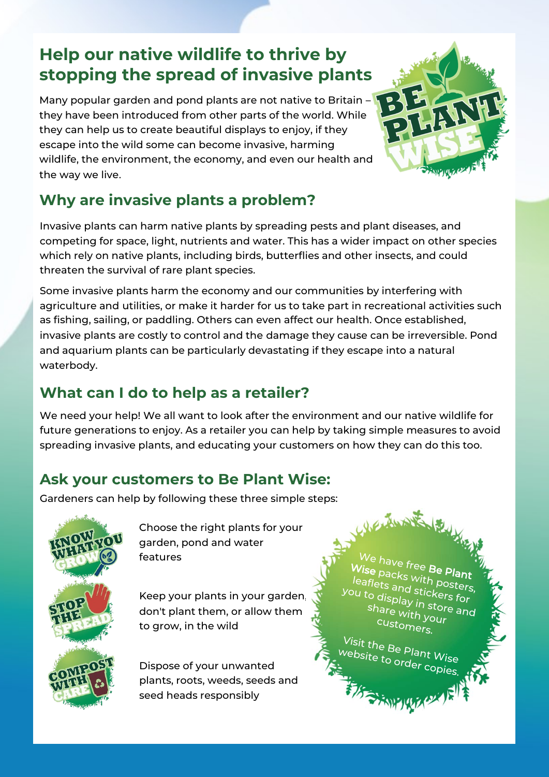# **Help our native wildlife to thrive by stopping the spread of invasive plants**

Many popular garden and pond plants are not native to Britain – they have been introduced from other parts of the world. While they can help us to create beautiful displays to enjoy, if they escape into the wild some can become invasive, harming wildlife, the environment, the economy, and even our health and the way we live.



## **Why are invasive plants a problem?**

Invasive plants can harm native plants by spreading pests and plant diseases, and competing for space, light, nutrients and water. This has a wider impact on other species which rely on native plants, including birds, butterflies and other insects, and could threaten the survival of rare plant species.

Some invasive plants harm the economy and our communities by interfering with agriculture and utilities, or make it harder for us to take part in recreational activities such as fishing, sailing, or paddling. Others can even affect our health. Once established, invasive plants are costly to control and the damage they cause can be irreversible. Pond and aquarium plants can be particularly devastating if they escape into a natural waterbody.

### **What can I do to help as a retailer?**

We need your help! We all want to look after the environment and our native wildlife for future generations to enjoy. As a retailer you can help by taking simple measures to avoid spreading invasive plants, and educating your customers on how they can do this too.

### **Ask your customers to Be Plant Wise:**

Gardeners can help by following these three simple steps:



Choose the right plants for your garden, pond and water features

Keep your plants in your garden, don't plant them, or allow them to grow, in the wild

Dispose of your unwanted plants, roots, weeds, seeds and seed heads responsibly

We have free Wise packs with posters,<br>leaflets and sticks Be p<sub>lant</sub> leaflets and stickers for you to display in stores for<br>Share with your and share with your customers.

WELTWALE RELIN

Visit the Be Plant Wise

website to order copies